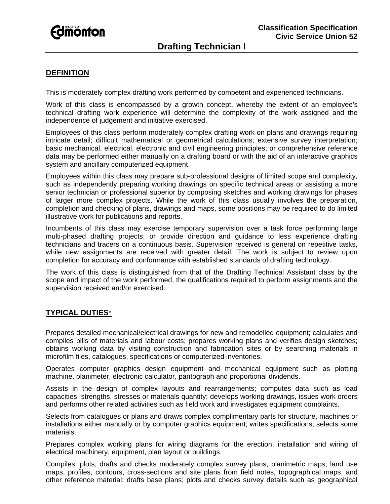

## **DEFINITION**

This is moderately complex drafting work performed by competent and experienced technicians.

Work of this class is encompassed by a growth concept, whereby the extent of an employee's technical drafting work experience will determine the complexity of the work assigned and the independence of judgement and initiative exercised.

Employees of this class perform moderately complex drafting work on plans and drawings requiring intricate detail; difficult mathematical or geometrical calculations; extensive survey interpretation; basic mechanical, electrical, electronic and civil engineering principles; or comprehensive reference data may be performed either manually on a drafting board or with the aid of an interactive graphics system and ancillary computerized equipment.

Employees within this class may prepare sub-professional designs of limited scope and complexity, such as independently preparing working drawings on specific technical areas or assisting a more senior technician or professional superior by composing sketches and working drawings for phases of larger more complex projects. While the work of this class usually involves the preparation, completion and checking of plans, drawings and maps, some positions may be required to do limited illustrative work for publications and reports.

Incumbents of this class may exercise temporary supervision over a task force performing large multi-phased drafting projects; or provide direction and guidance to less experience drafting technicians and tracers on a continuous basis. Supervision received is general on repetitive tasks, while new assignments are received with greater detail. The work is subject to review upon completion for accuracy and conformance with established standards of drafting technology.

The work of this class is distinguished from that of the Drafting Technical Assistant class by the scope and impact of the work performed, the qualifications required to perform assignments and the supervision received and/or exercised.

## **TYPICAL DUTIES**\*

Prepares detailed mechanical/electrical drawings for new and remodelled equipment; calculates and compiles bills of materials and labour costs; prepares working plans and verifies design sketches; obtains working data by visiting construction and fabrication sites or by searching materials in microfilm files, catalogues, specifications or computerized inventories.

Operates computer graphics design equipment and mechanical equipment such as plotting machine, planimeter, electronic calculator, pantograph and proportional dividends.

Assists in the design of complex layouts and rearrangements; computes data such as load capacities, strengths, stresses or materials quantity; develops working drawings, issues work orders and performs other related activities such as field work and investigates equipment complaints.

Selects from catalogues or plans and draws complex complimentary parts for structure, machines or installations either manually or by computer graphics equipment; writes specifications; selects some materials.

Prepares complex working plans for wiring diagrams for the erection, installation and wiring of electrical machinery, equipment, plan layout or buildings.

Compiles, plots, drafts and checks moderately complex survey plans, planimetric maps, land use maps, profiles, contours, cross-sections and site plans from field notes, topographical maps, and other reference material; drafts base plans; plots and checks survey details such as geographical